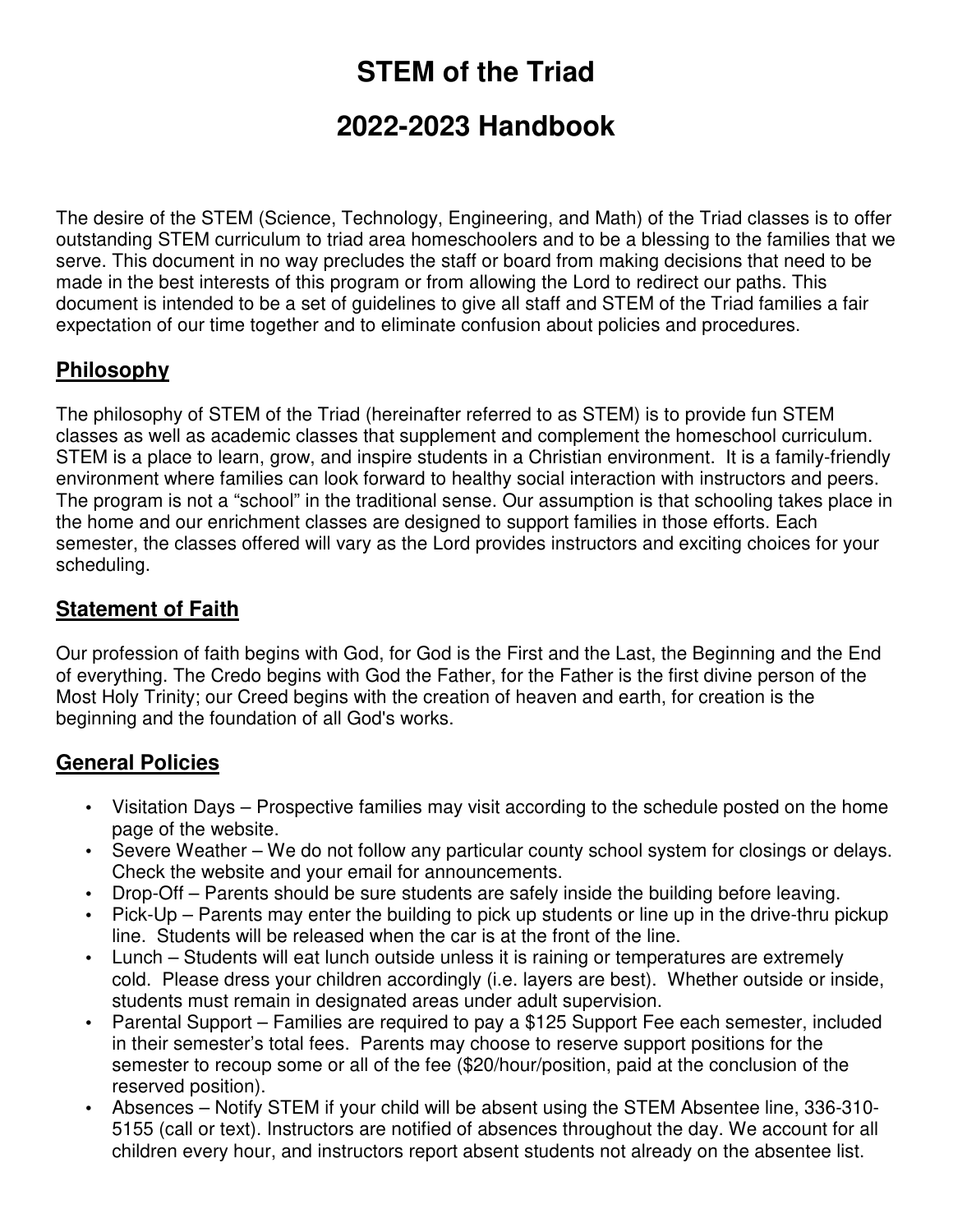# **STEM of the Triad**

# **2022-2023 Handbook**

The desire of the STEM (Science, Technology, Engineering, and Math) of the Triad classes is to offer outstanding STEM curriculum to triad area homeschoolers and to be a blessing to the families that we serve. This document in no way precludes the staff or board from making decisions that need to be made in the best interests of this program or from allowing the Lord to redirect our paths. This document is intended to be a set of guidelines to give all staff and STEM of the Triad families a fair expectation of our time together and to eliminate confusion about policies and procedures.

## **Philosophy**

The philosophy of STEM of the Triad (hereinafter referred to as STEM) is to provide fun STEM classes as well as academic classes that supplement and complement the homeschool curriculum. STEM is a place to learn, grow, and inspire students in a Christian environment. It is a family-friendly environment where families can look forward to healthy social interaction with instructors and peers. The program is not a "school" in the traditional sense. Our assumption is that schooling takes place in the home and our enrichment classes are designed to support families in those efforts. Each semester, the classes offered will vary as the Lord provides instructors and exciting choices for your scheduling.

# **Statement of Faith**

Our profession of faith begins with God, for God is the First and the Last, the Beginning and the End of everything. The Credo begins with God the Father, for the Father is the first divine person of the Most Holy Trinity; our Creed begins with the creation of heaven and earth, for creation is the beginning and the foundation of all God's works.

## **General Policies**

- Visitation Days Prospective families may visit according to the schedule posted on the home page of the website.
- Severe Weather We do not follow any particular county school system for closings or delays. Check the website and your email for announcements.
- Drop-Off Parents should be sure students are safely inside the building before leaving.
- Pick-Up Parents may enter the building to pick up students or line up in the drive-thru pickup line. Students will be released when the car is at the front of the line.
- Lunch Students will eat lunch outside unless it is raining or temperatures are extremely cold. Please dress your children accordingly (i.e. layers are best). Whether outside or inside, students must remain in designated areas under adult supervision.
- Parental Support Families are required to pay a \$125 Support Fee each semester, included in their semester's total fees. Parents may choose to reserve support positions for the semester to recoup some or all of the fee (\$20/hour/position, paid at the conclusion of the reserved position).
- Absences Notify STEM if your child will be absent using the STEM Absentee line, 336-310- 5155 (call or text). Instructors are notified of absences throughout the day. We account for all children every hour, and instructors report absent students not already on the absentee list.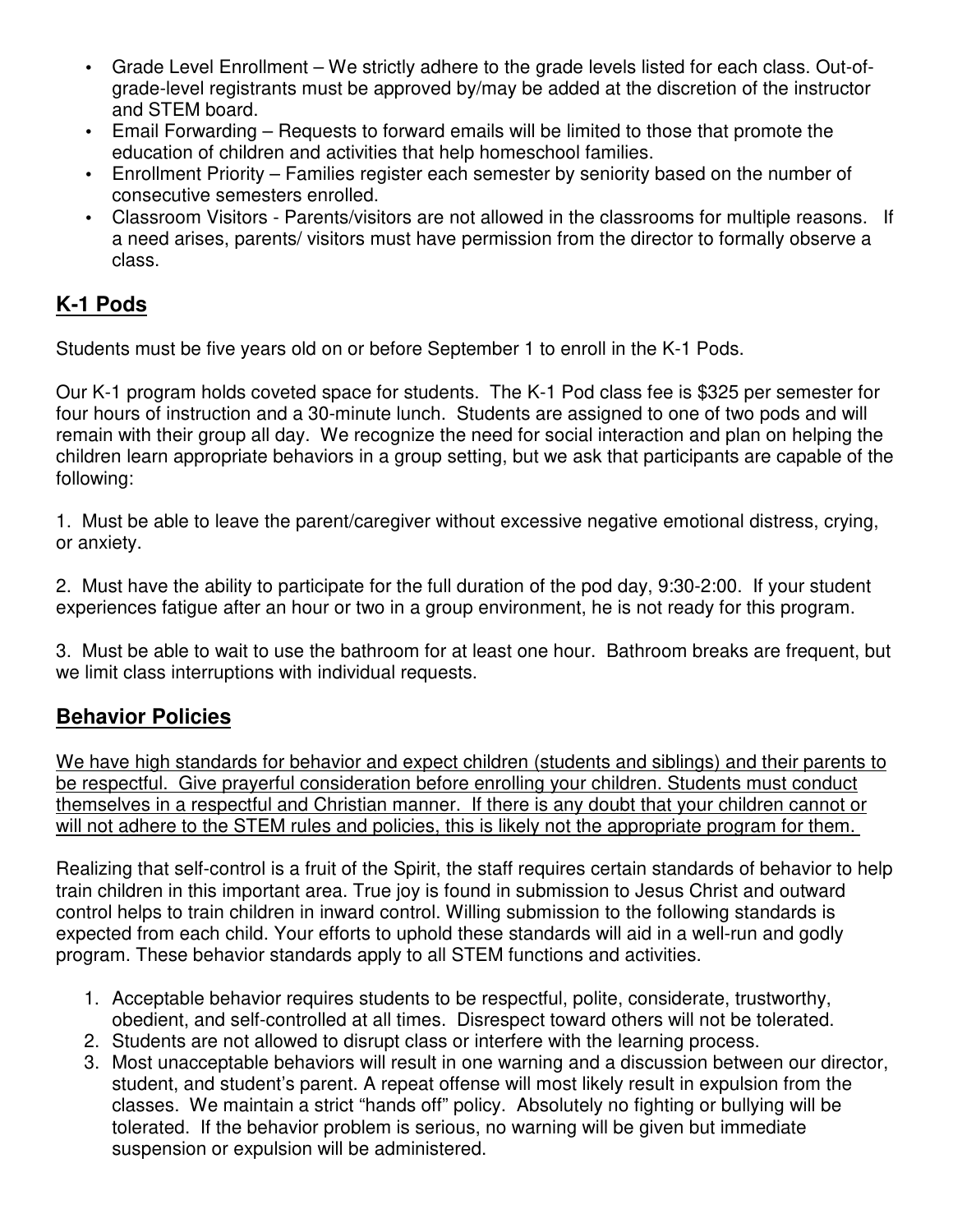- Grade Level Enrollment We strictly adhere to the grade levels listed for each class. Out-ofgrade-level registrants must be approved by/may be added at the discretion of the instructor and STEM board.
- Email Forwarding Requests to forward emails will be limited to those that promote the education of children and activities that help homeschool families.
- Enrollment Priority Families register each semester by seniority based on the number of consecutive semesters enrolled.
- Classroom Visitors Parents/visitors are not allowed in the classrooms for multiple reasons. If a need arises, parents/ visitors must have permission from the director to formally observe a class.

#### **K-1 Pods**

Students must be five years old on or before September 1 to enroll in the K-1 Pods.

Our K-1 program holds coveted space for students. The K-1 Pod class fee is \$325 per semester for four hours of instruction and a 30-minute lunch. Students are assigned to one of two pods and will remain with their group all day. We recognize the need for social interaction and plan on helping the children learn appropriate behaviors in a group setting, but we ask that participants are capable of the following:

1. Must be able to leave the parent/caregiver without excessive negative emotional distress, crying, or anxiety.

2. Must have the ability to participate for the full duration of the pod day, 9:30-2:00. If your student experiences fatigue after an hour or two in a group environment, he is not ready for this program.

3. Must be able to wait to use the bathroom for at least one hour. Bathroom breaks are frequent, but we limit class interruptions with individual requests.

#### **Behavior Policies**

We have high standards for behavior and expect children (students and siblings) and their parents to be respectful. Give prayerful consideration before enrolling your children. Students must conduct themselves in a respectful and Christian manner. If there is any doubt that your children cannot or will not adhere to the STEM rules and policies, this is likely not the appropriate program for them.

Realizing that self-control is a fruit of the Spirit, the staff requires certain standards of behavior to help train children in this important area. True joy is found in submission to Jesus Christ and outward control helps to train children in inward control. Willing submission to the following standards is expected from each child. Your efforts to uphold these standards will aid in a well-run and godly program. These behavior standards apply to all STEM functions and activities.

- 1. Acceptable behavior requires students to be respectful, polite, considerate, trustworthy, obedient, and self-controlled at all times. Disrespect toward others will not be tolerated.
- 2. Students are not allowed to disrupt class or interfere with the learning process.
- 3. Most unacceptable behaviors will result in one warning and a discussion between our director, student, and student's parent. A repeat offense will most likely result in expulsion from the classes. We maintain a strict "hands off" policy. Absolutely no fighting or bullying will be tolerated. If the behavior problem is serious, no warning will be given but immediate suspension or expulsion will be administered.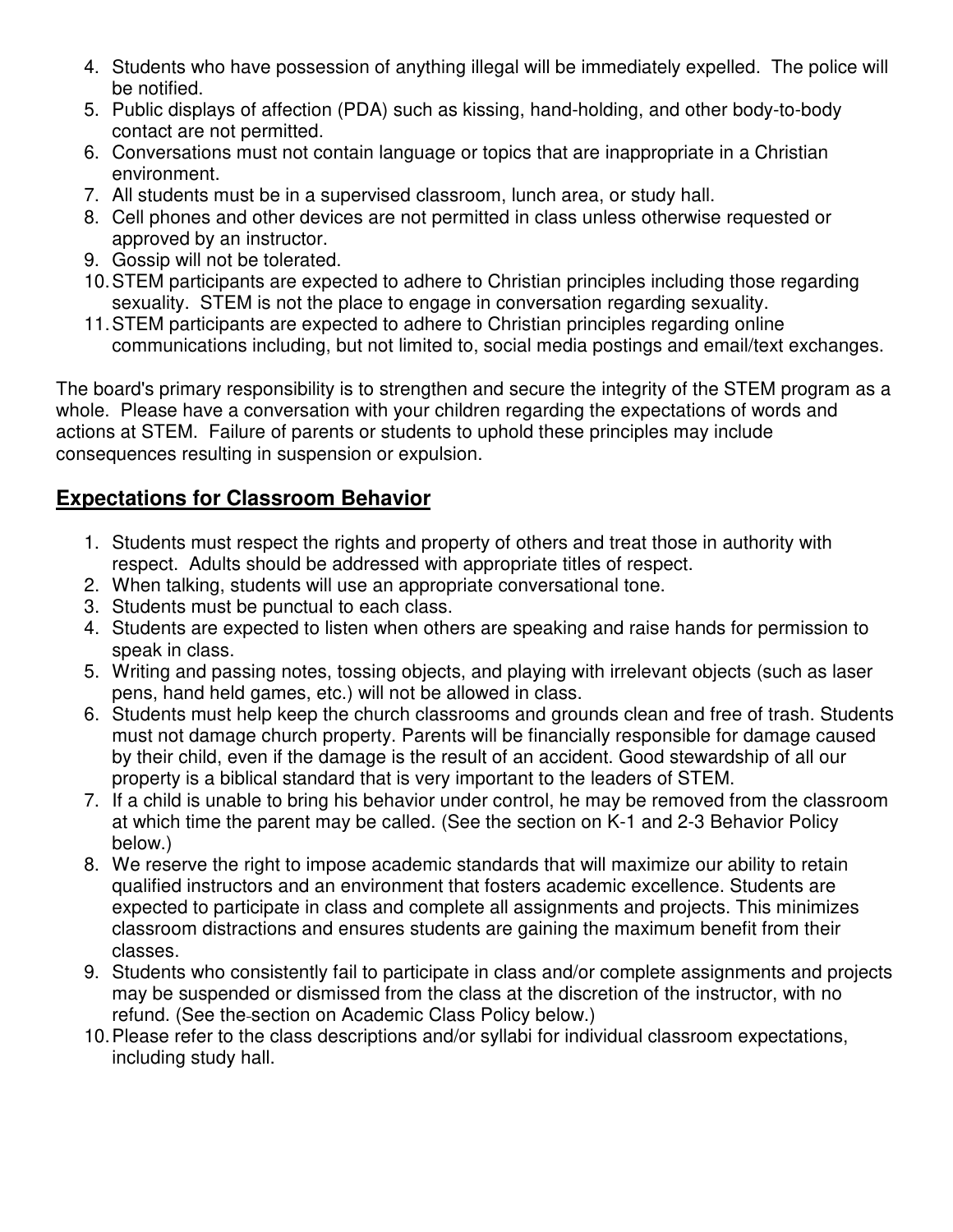- 4. Students who have possession of anything illegal will be immediately expelled. The police will be notified.
- 5. Public displays of affection (PDA) such as kissing, hand-holding, and other body-to-body contact are not permitted.
- 6. Conversations must not contain language or topics that are inappropriate in a Christian environment.
- 7. All students must be in a supervised classroom, lunch area, or study hall.
- 8. Cell phones and other devices are not permitted in class unless otherwise requested or approved by an instructor.
- 9. Gossip will not be tolerated.
- 10. STEM participants are expected to adhere to Christian principles including those regarding sexuality. STEM is not the place to engage in conversation regarding sexuality.
- 11. STEM participants are expected to adhere to Christian principles regarding online communications including, but not limited to, social media postings and email/text exchanges.

The board's primary responsibility is to strengthen and secure the integrity of the STEM program as a whole. Please have a conversation with your children regarding the expectations of words and actions at STEM. Failure of parents or students to uphold these principles may include consequences resulting in suspension or expulsion.

## **Expectations for Classroom Behavior**

- 1. Students must respect the rights and property of others and treat those in authority with respect. Adults should be addressed with appropriate titles of respect.
- 2. When talking, students will use an appropriate conversational tone.
- 3. Students must be punctual to each class.
- 4. Students are expected to listen when others are speaking and raise hands for permission to speak in class.
- 5. Writing and passing notes, tossing objects, and playing with irrelevant objects (such as laser pens, hand held games, etc.) will not be allowed in class.
- 6. Students must help keep the church classrooms and grounds clean and free of trash. Students must not damage church property. Parents will be financially responsible for damage caused by their child, even if the damage is the result of an accident. Good stewardship of all our property is a biblical standard that is very important to the leaders of STEM.
- 7. If a child is unable to bring his behavior under control, he may be removed from the classroom at which time the parent may be called. (See the section on K-1 and 2-3 Behavior Policy below.)
- 8. We reserve the right to impose academic standards that will maximize our ability to retain qualified instructors and an environment that fosters academic excellence. Students are expected to participate in class and complete all assignments and projects. This minimizes classroom distractions and ensures students are gaining the maximum benefit from their classes.
- 9. Students who consistently fail to participate in class and/or complete assignments and projects may be suspended or dismissed from the class at the discretion of the instructor, with no refund. (See the section on Academic Class Policy below.)
- 10. Please refer to the class descriptions and/or syllabi for individual classroom expectations, including study hall.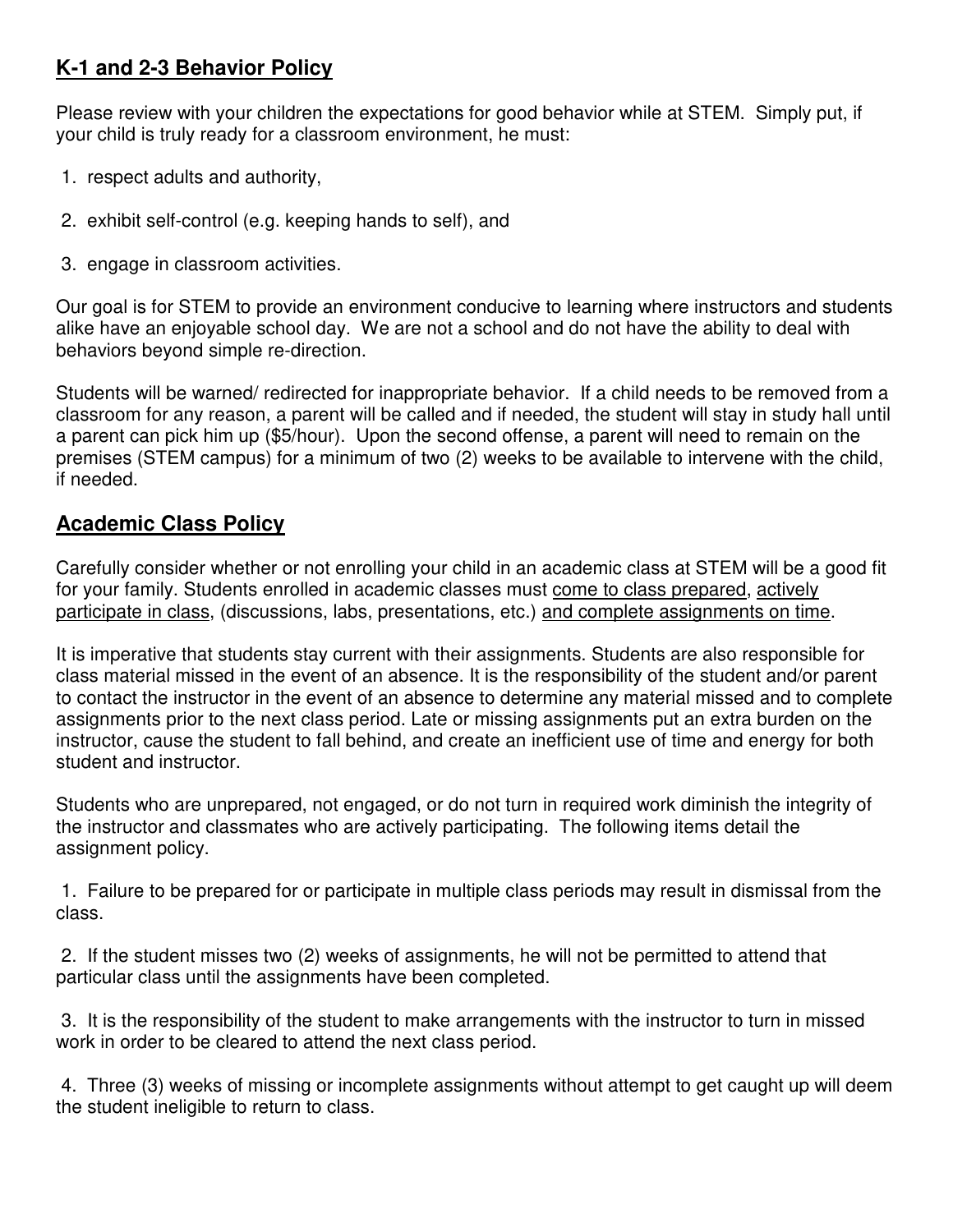#### **K-1 and 2-3 Behavior Policy**

Please review with your children the expectations for good behavior while at STEM. Simply put, if your child is truly ready for a classroom environment, he must:

- 1. respect adults and authority,
- 2. exhibit self-control (e.g. keeping hands to self), and
- 3. engage in classroom activities.

Our goal is for STEM to provide an environment conducive to learning where instructors and students alike have an enjoyable school day. We are not a school and do not have the ability to deal with behaviors beyond simple re-direction.

Students will be warned/ redirected for inappropriate behavior. If a child needs to be removed from a classroom for any reason, a parent will be called and if needed, the student will stay in study hall until a parent can pick him up (\$5/hour). Upon the second offense, a parent will need to remain on the premises (STEM campus) for a minimum of two (2) weeks to be available to intervene with the child, if needed.

#### **Academic Class Policy**

Carefully consider whether or not enrolling your child in an academic class at STEM will be a good fit for your family. Students enrolled in academic classes must come to class prepared, actively participate in class, (discussions, labs, presentations, etc.) and complete assignments on time.

It is imperative that students stay current with their assignments. Students are also responsible for class material missed in the event of an absence. It is the responsibility of the student and/or parent to contact the instructor in the event of an absence to determine any material missed and to complete assignments prior to the next class period. Late or missing assignments put an extra burden on the instructor, cause the student to fall behind, and create an inefficient use of time and energy for both student and instructor.

Students who are unprepared, not engaged, or do not turn in required work diminish the integrity of the instructor and classmates who are actively participating. The following items detail the assignment policy.

 1. Failure to be prepared for or participate in multiple class periods may result in dismissal from the class.

 2. If the student misses two (2) weeks of assignments, he will not be permitted to attend that particular class until the assignments have been completed.

 3. It is the responsibility of the student to make arrangements with the instructor to turn in missed work in order to be cleared to attend the next class period.

 4. Three (3) weeks of missing or incomplete assignments without attempt to get caught up will deem the student ineligible to return to class.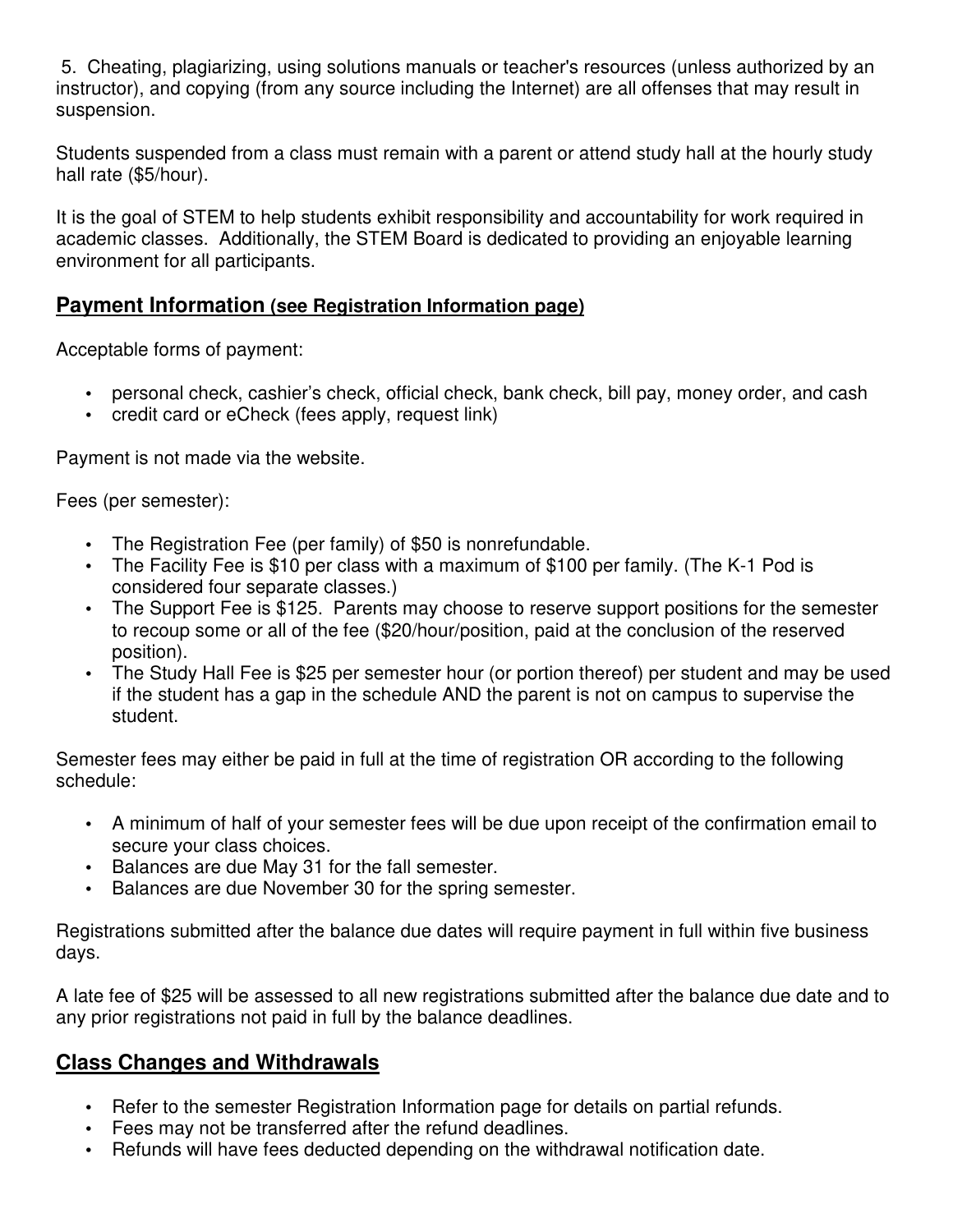5. Cheating, plagiarizing, using solutions manuals or teacher's resources (unless authorized by an instructor), and copying (from any source including the Internet) are all offenses that may result in suspension.

Students suspended from a class must remain with a parent or attend study hall at the hourly study hall rate (\$5/hour).

It is the goal of STEM to help students exhibit responsibility and accountability for work required in academic classes. Additionally, the STEM Board is dedicated to providing an enjoyable learning environment for all participants.

#### **Payment Information (see Registration Information page)**

Acceptable forms of payment:

- personal check, cashier's check, official check, bank check, bill pay, money order, and cash
- credit card or eCheck (fees apply, request link)

Payment is not made via the website.

Fees (per semester):

- The Registration Fee (per family) of \$50 is nonrefundable.
- The Facility Fee is \$10 per class with a maximum of \$100 per family. (The K-1 Pod is considered four separate classes.)
- The Support Fee is \$125. Parents may choose to reserve support positions for the semester to recoup some or all of the fee (\$20/hour/position, paid at the conclusion of the reserved position).
- The Study Hall Fee is \$25 per semester hour (or portion thereof) per student and may be used if the student has a gap in the schedule AND the parent is not on campus to supervise the student.

Semester fees may either be paid in full at the time of registration OR according to the following schedule:

- A minimum of half of your semester fees will be due upon receipt of the confirmation email to secure your class choices.
- Balances are due May 31 for the fall semester.
- Balances are due November 30 for the spring semester.

Registrations submitted after the balance due dates will require payment in full within five business days.

A late fee of \$25 will be assessed to all new registrations submitted after the balance due date and to any prior registrations not paid in full by the balance deadlines.

#### **Class Changes and Withdrawals**

- Refer to the semester Registration Information page for details on partial refunds.
- Fees may not be transferred after the refund deadlines.
- Refunds will have fees deducted depending on the withdrawal notification date.